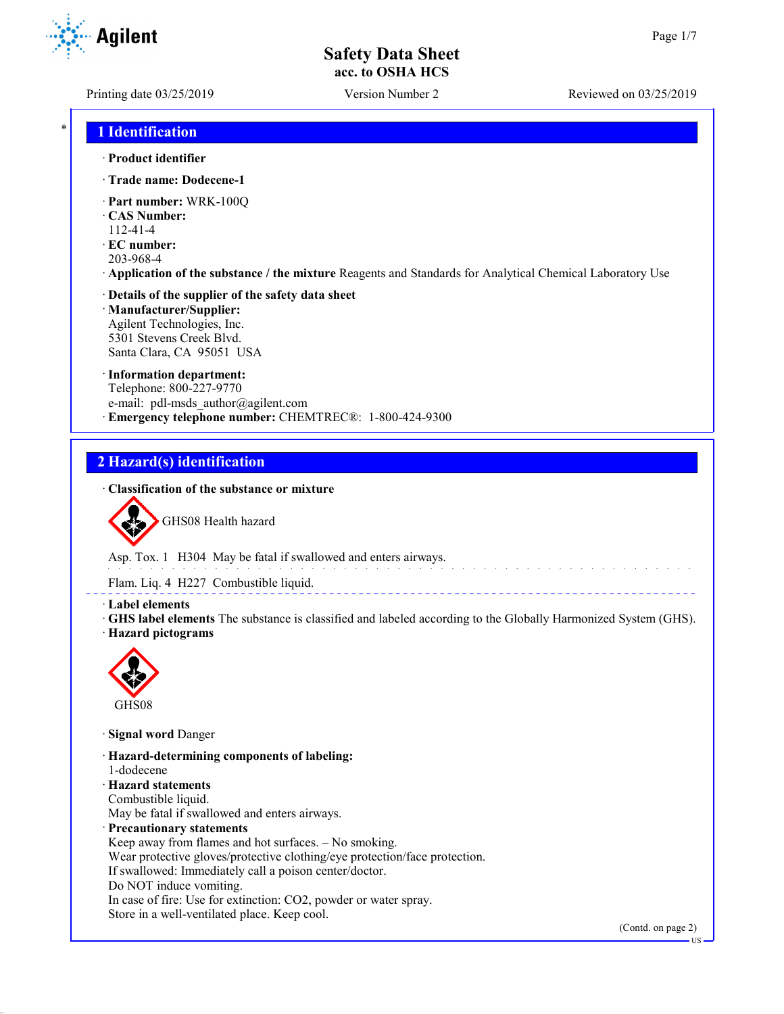Printing date 03/25/2019 Version Number 2 Reviewed on 03/25/2019

## \* **1 Identification**

- · **Product identifier**
- · **Trade name: Dodecene-1**
- · **Part number:** WRK-100Q
- · **CAS Number:**
- 112-41-4
- · **EC number:**
- 203-968-4
- · **Application of the substance / the mixture** Reagents and Standards for Analytical Chemical Laboratory Use

#### · **Details of the supplier of the safety data sheet** · **Manufacturer/Supplier:** Agilent Technologies, Inc.

5301 Stevens Creek Blvd. Santa Clara, CA 95051 USA

#### · **Information department:**

Telephone: 800-227-9770 e-mail: pdl-msds author@agilent.com · **Emergency telephone number:** CHEMTREC®: 1-800-424-9300

## **2 Hazard(s) identification**

### · **Classification of the substance or mixture**



GHS08 Health hazard

Asp. Tox. 1 H304 May be fatal if swallowed and enters airways.

Flam. Liq. 4 H227 Combustible liquid.

#### · **Label elements**

· **GHS label elements** The substance is classified and labeled according to the Globally Harmonized System (GHS). · **Hazard pictograms**



· **Signal word** Danger

- · **Hazard-determining components of labeling:**
- 1-dodecene
- · **Hazard statements**

Combustible liquid.

May be fatal if swallowed and enters airways.

- · **Precautionary statements**
- Keep away from flames and hot surfaces. No smoking.
- Wear protective gloves/protective clothing/eye protection/face protection.
- If swallowed: Immediately call a poison center/doctor.
- Do NOT induce vomiting.
- In case of fire: Use for extinction: CO2, powder or water spray.

Store in a well-ventilated place. Keep cool.

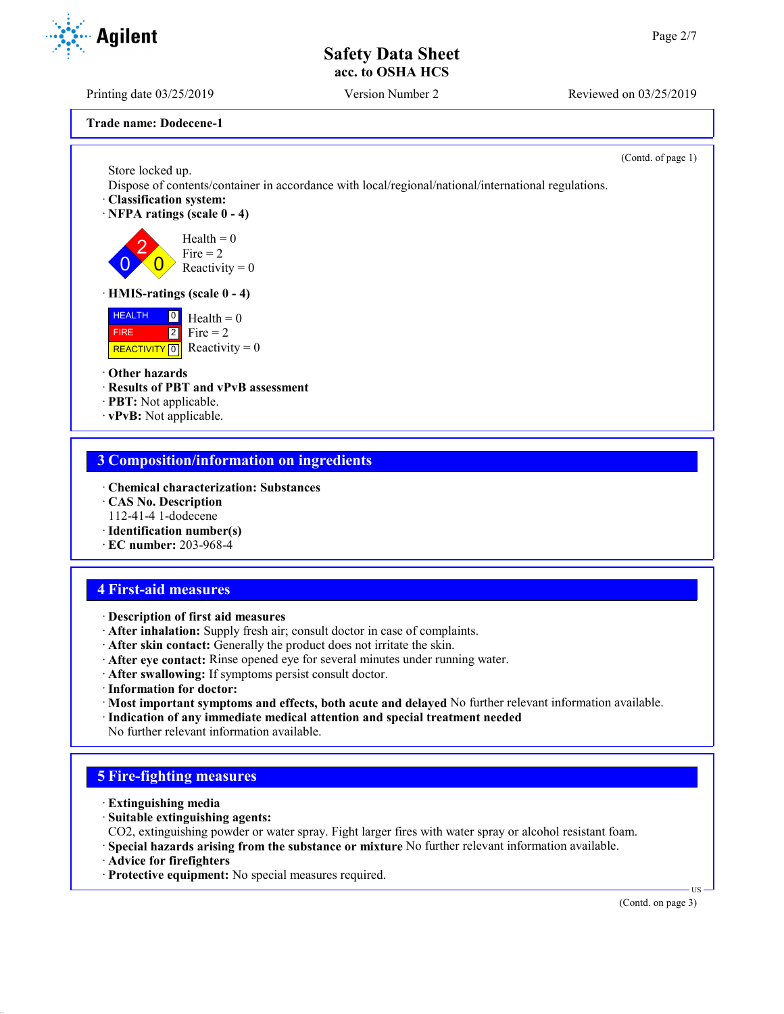Printing date 03/25/2019 Version Number 2 Reviewed on 03/25/2019

**Trade name: Dodecene-1**

Store locked up.

 $\overline{0}$ 

(Contd. of page 1)

Dispose of contents/container in accordance with local/regional/national/international regulations.

- · **Classification system:**
- · **NFPA ratings (scale 0 4)**

2  $\overline{0}$  $Health = 0$  $Fire = 2$ Reactivity  $= 0$ 

#### · **HMIS-ratings (scale 0 - 4)**

 HEALTH FIRE REACTIVITY  $\boxed{0}$  Reactivity = 0  $\overline{0}$  Health = 0  $2$  Fire = 2

#### · **Other hazards**

- · **Results of PBT and vPvB assessment**
- · **PBT:** Not applicable.
- · **vPvB:** Not applicable.

## **3 Composition/information on ingredients**

- · **Chemical characterization: Substances**
- · **CAS No. Description**
- 112-41-4 1-dodecene
- · **Identification number(s)**
- · **EC number:** 203-968-4

## **4 First-aid measures**

- · **Description of first aid measures**
- · **After inhalation:** Supply fresh air; consult doctor in case of complaints.
- · **After skin contact:** Generally the product does not irritate the skin.
- · **After eye contact:** Rinse opened eye for several minutes under running water.
- · **After swallowing:** If symptoms persist consult doctor.
- · **Information for doctor:**
- · **Most important symptoms and effects, both acute and delayed** No further relevant information available.
- · **Indication of any immediate medical attention and special treatment needed** No further relevant information available.

## **5 Fire-fighting measures**

- · **Extinguishing media**
- · **Suitable extinguishing agents:**
- CO2, extinguishing powder or water spray. Fight larger fires with water spray or alcohol resistant foam.
- · **Special hazards arising from the substance or mixture** No further relevant information available.
- · **Advice for firefighters**
- · **Protective equipment:** No special measures required.

(Contd. on page 3)

US

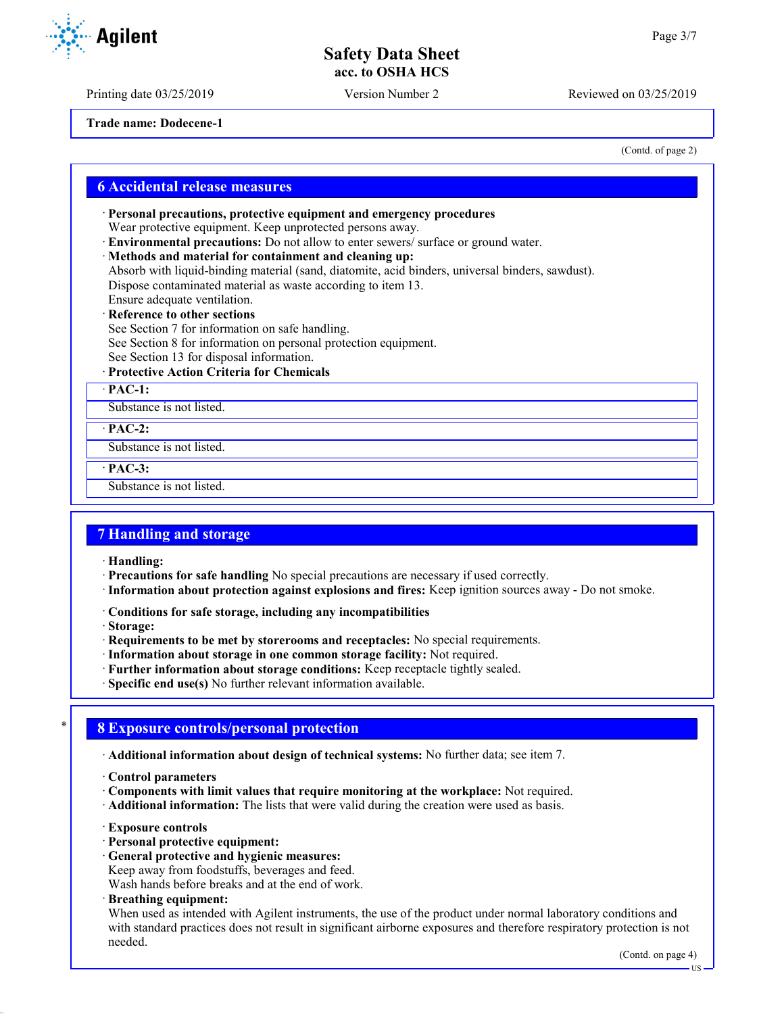Printing date 03/25/2019 Version Number 2 Reviewed on 03/25/2019

**Trade name: Dodecene-1**

(Contd. of page 2)

### **6 Accidental release measures**

· **Personal precautions, protective equipment and emergency procedures** Wear protective equipment. Keep unprotected persons away.

- · **Environmental precautions:** Do not allow to enter sewers/ surface or ground water.
- · **Methods and material for containment and cleaning up:**

Absorb with liquid-binding material (sand, diatomite, acid binders, universal binders, sawdust). Dispose contaminated material as waste according to item 13. Ensure adequate ventilation.

**Reference to other sections** 

See Section 7 for information on safe handling.

See Section 8 for information on personal protection equipment.

- See Section 13 for disposal information.
- · **Protective Action Criteria for Chemicals**
- · **PAC-1:**

Substance is not listed.

· **PAC-2:**

Substance is not listed.

· **PAC-3:**

Substance is not listed.

## **7 Handling and storage**

· **Handling:**

- · **Precautions for safe handling** No special precautions are necessary if used correctly.
- · **Information about protection against explosions and fires:** Keep ignition sources away Do not smoke.
- · **Conditions for safe storage, including any incompatibilities**
- · **Storage:**
- · **Requirements to be met by storerooms and receptacles:** No special requirements.
- · **Information about storage in one common storage facility:** Not required.
- · **Further information about storage conditions:** Keep receptacle tightly sealed.
- · **Specific end use(s)** No further relevant information available.

## \* **8 Exposure controls/personal protection**

· **Additional information about design of technical systems:** No further data; see item 7.

- · **Control parameters**
- · **Components with limit values that require monitoring at the workplace:** Not required.
- · **Additional information:** The lists that were valid during the creation were used as basis.
- · **Exposure controls**
- · **Personal protective equipment:**
- · **General protective and hygienic measures:**

Keep away from foodstuffs, beverages and feed.

Wash hands before breaks and at the end of work.

· **Breathing equipment:**

When used as intended with Agilent instruments, the use of the product under normal laboratory conditions and with standard practices does not result in significant airborne exposures and therefore respiratory protection is not needed.

US

**Agilent** 

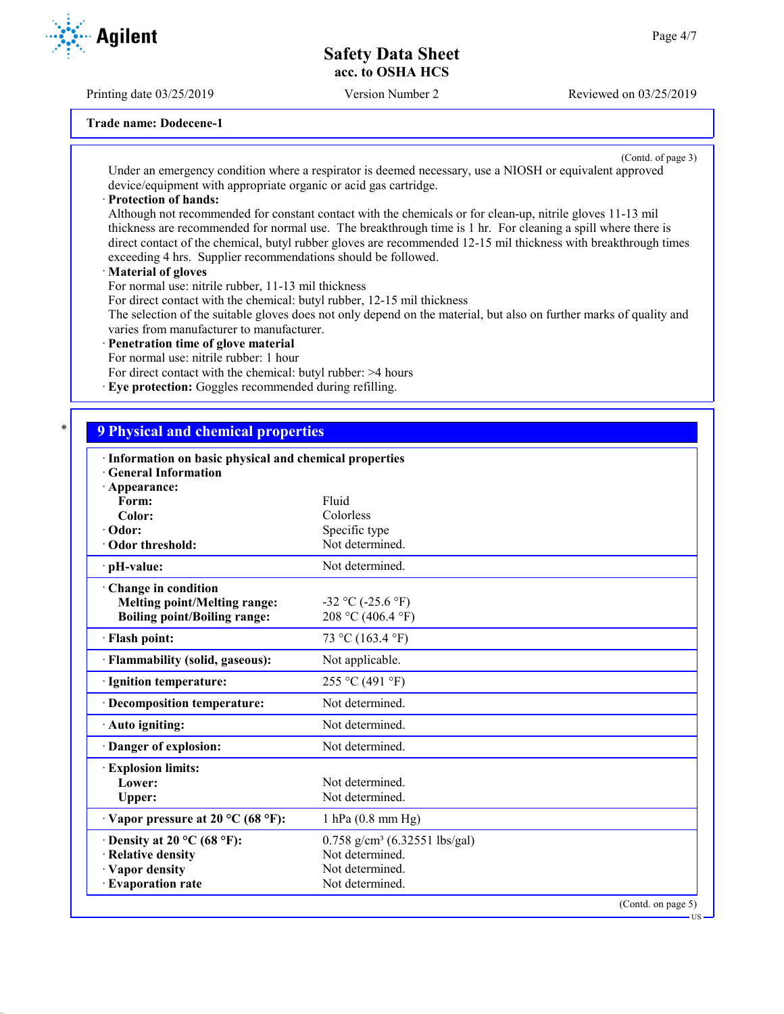Printing date 03/25/2019 Version Number 2 Reviewed on 03/25/2019

**Trade name: Dodecene-1**

(Contd. of page 3) Under an emergency condition where a respirator is deemed necessary, use a NIOSH or equivalent approved device/equipment with appropriate organic or acid gas cartridge.

#### · **Protection of hands:**

Although not recommended for constant contact with the chemicals or for clean-up, nitrile gloves 11-13 mil thickness are recommended for normal use. The breakthrough time is 1 hr. For cleaning a spill where there is direct contact of the chemical, butyl rubber gloves are recommended 12-15 mil thickness with breakthrough times exceeding 4 hrs. Supplier recommendations should be followed.

#### · **Material of gloves**

For normal use: nitrile rubber, 11-13 mil thickness

For direct contact with the chemical: butyl rubber, 12-15 mil thickness

The selection of the suitable gloves does not only depend on the material, but also on further marks of quality and varies from manufacturer to manufacturer.

#### · **Penetration time of glove material**

For normal use: nitrile rubber: 1 hour

- For direct contact with the chemical: butyl rubber: >4 hours
- · **Eye protection:** Goggles recommended during refilling.

## \* **9 Physical and chemical properties**

| · Information on basic physical and chemical properties<br><b>General Information</b> |                                             |  |
|---------------------------------------------------------------------------------------|---------------------------------------------|--|
| $\cdot$ Appearance:                                                                   |                                             |  |
| Form:                                                                                 | Fluid                                       |  |
| Color:                                                                                | Colorless                                   |  |
| $\cdot$ Odor:                                                                         | Specific type                               |  |
| Odor threshold:                                                                       | Not determined.                             |  |
| · pH-value:                                                                           | Not determined.                             |  |
| Change in condition                                                                   |                                             |  |
| <b>Melting point/Melting range:</b>                                                   | $-32$ °C ( $-25.6$ °F)                      |  |
| <b>Boiling point/Boiling range:</b>                                                   | 208 °C (406.4 °F)                           |  |
| · Flash point:                                                                        | 73 °C (163.4 °F)                            |  |
| · Flammability (solid, gaseous):                                                      | Not applicable.                             |  |
| · Ignition temperature:                                                               | 255 °C (491 °F)                             |  |
| · Decomposition temperature:                                                          | Not determined.                             |  |
| · Auto igniting:                                                                      | Not determined.                             |  |
| Danger of explosion:                                                                  | Not determined.                             |  |
| <b>Explosion limits:</b>                                                              |                                             |  |
| Lower:                                                                                | Not determined.                             |  |
| Upper:                                                                                | Not determined.                             |  |
| $\cdot$ Vapor pressure at 20 °C (68 °F):                                              | $1$ hPa $(0.8$ mm Hg)                       |  |
| $\cdot$ Density at 20 °C (68 °F):                                                     | $0.758$ g/cm <sup>3</sup> (6.32551 lbs/gal) |  |
| · Relative density                                                                    | Not determined.                             |  |
| · Vapor density                                                                       | Not determined.                             |  |
| · Evaporation rate                                                                    | Not determined.                             |  |
|                                                                                       | (Contd. on page 5)<br>$US -$                |  |
|                                                                                       |                                             |  |

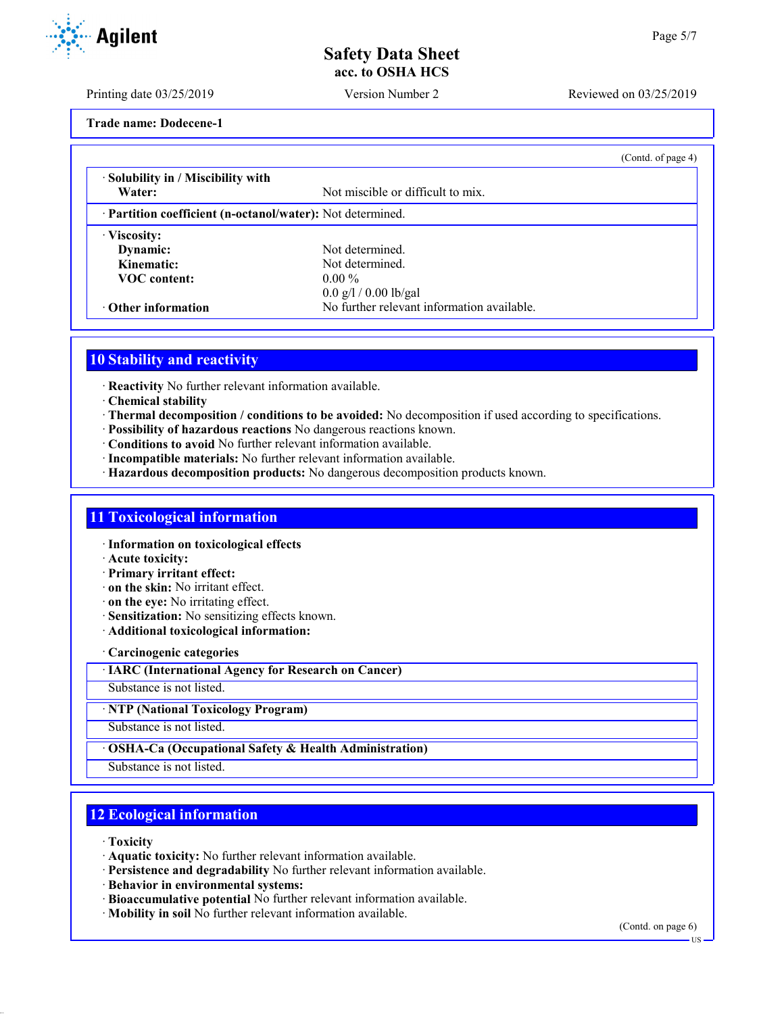Printing date 03/25/2019 Version Number 2 Reviewed on 03/25/2019

**Trade name: Dodecene-1**

|                                                            |                                            | (Contd. of page 4) |
|------------------------------------------------------------|--------------------------------------------|--------------------|
| · Solubility in / Miscibility with                         |                                            |                    |
| Water:                                                     | Not miscible or difficult to mix.          |                    |
| · Partition coefficient (n-octanol/water): Not determined. |                                            |                    |
| · Viscosity:                                               |                                            |                    |
| Dynamic:                                                   | Not determined.                            |                    |
| Kinematic:                                                 | Not determined.                            |                    |
| <b>VOC</b> content:                                        | $0.00\%$                                   |                    |
|                                                            | $0.0$ g/l / 0.00 lb/gal                    |                    |
| $\cdot$ Other information                                  | No further relevant information available. |                    |

## **10 Stability and reactivity**

- · **Reactivity** No further relevant information available.
- · **Chemical stability**
- · **Thermal decomposition / conditions to be avoided:** No decomposition if used according to specifications.
- · **Possibility of hazardous reactions** No dangerous reactions known.
- · **Conditions to avoid** No further relevant information available.
- · **Incompatible materials:** No further relevant information available.
- · **Hazardous decomposition products:** No dangerous decomposition products known.

### **11 Toxicological information**

- · **Information on toxicological effects**
- · **Acute toxicity:**
- · **Primary irritant effect:**
- · **on the skin:** No irritant effect.
- · **on the eye:** No irritating effect.
- · **Sensitization:** No sensitizing effects known.
- · **Additional toxicological information:**

· **Carcinogenic categories**

· **IARC (International Agency for Research on Cancer)**

Substance is not listed.

· **NTP (National Toxicology Program)**

Substance is not listed.

· **OSHA-Ca (Occupational Safety & Health Administration)**

Substance is not listed.

## **12 Ecological information**

- · **Toxicity**
- · **Aquatic toxicity:** No further relevant information available.
- · **Persistence and degradability** No further relevant information available.
- · **Behavior in environmental systems:**
- · **Bioaccumulative potential** No further relevant information available.
- · **Mobility in soil** No further relevant information available.

(Contd. on page 6)



US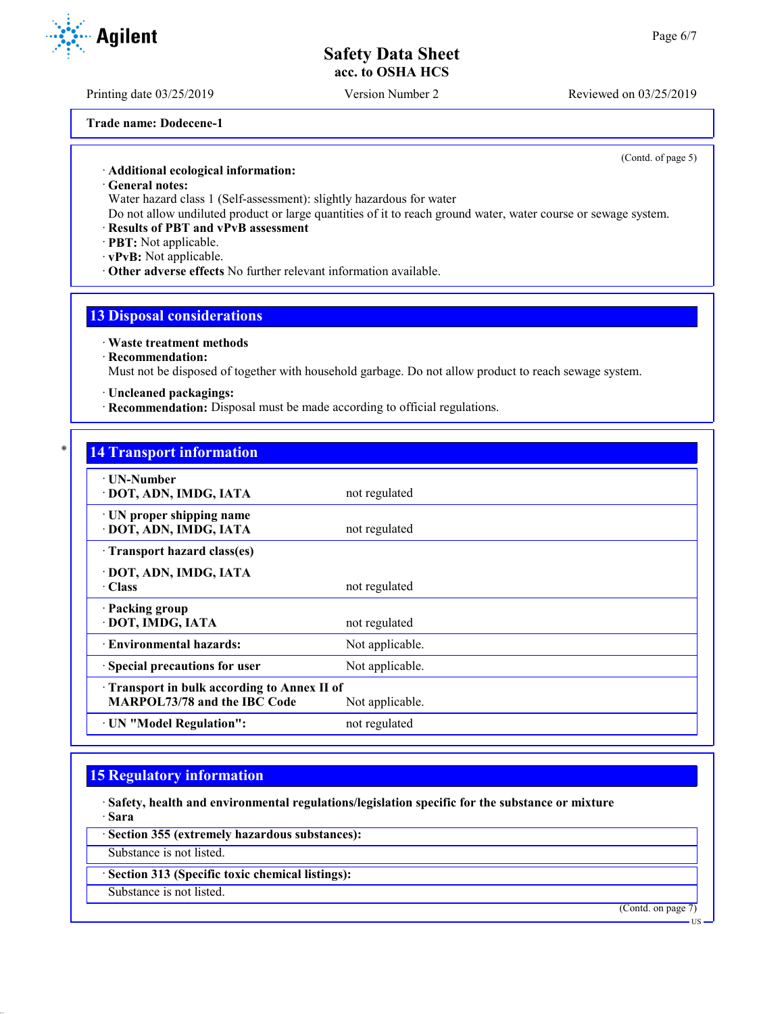**Trade name: Dodecene-1**

(Contd. of page 5)

· **Additional ecological information:**

· **General notes:**

Water hazard class 1 (Self-assessment): slightly hazardous for water

Do not allow undiluted product or large quantities of it to reach ground water, water course or sewage system.

#### · **Results of PBT and vPvB assessment**

· **PBT:** Not applicable.

· **vPvB:** Not applicable.

· **Other adverse effects** No further relevant information available.

## **13 Disposal considerations**

· **Waste treatment methods**

· **Recommendation:**

Must not be disposed of together with household garbage. Do not allow product to reach sewage system.

· **Uncleaned packagings:**

· **Recommendation:** Disposal must be made according to official regulations.

# **14 Transport information**

| ∙ UN-Number<br>· DOT, ADN, IMDG, IATA                                                                | not regulated   |  |
|------------------------------------------------------------------------------------------------------|-----------------|--|
| · UN proper shipping name<br>· DOT, ADN, IMDG, IATA                                                  | not regulated   |  |
| Transport hazard class(es)                                                                           |                 |  |
| · DOT, ADN, IMDG, IATA<br>$\cdot$ Class                                                              | not regulated   |  |
| · Packing group<br>· DOT, IMDG, IATA                                                                 | not regulated   |  |
| · Environmental hazards:                                                                             | Not applicable. |  |
| · Special precautions for user                                                                       | Not applicable. |  |
| Transport in bulk according to Annex II of<br><b>MARPOL73/78 and the IBC Code</b><br>Not applicable. |                 |  |
| · UN "Model Regulation":                                                                             | not regulated   |  |

## **15 Regulatory information**

· **Safety, health and environmental regulations/legislation specific for the substance or mixture** · **Sara**

· **Section 355 (extremely hazardous substances):**

Substance is not listed.

· **Section 313 (Specific toxic chemical listings):**

Substance is not listed.

(Contd. on page 7)

**HS** 

Printing date 03/25/2019 Version Number 2 Reviewed on 03/25/2019

**Agilent**